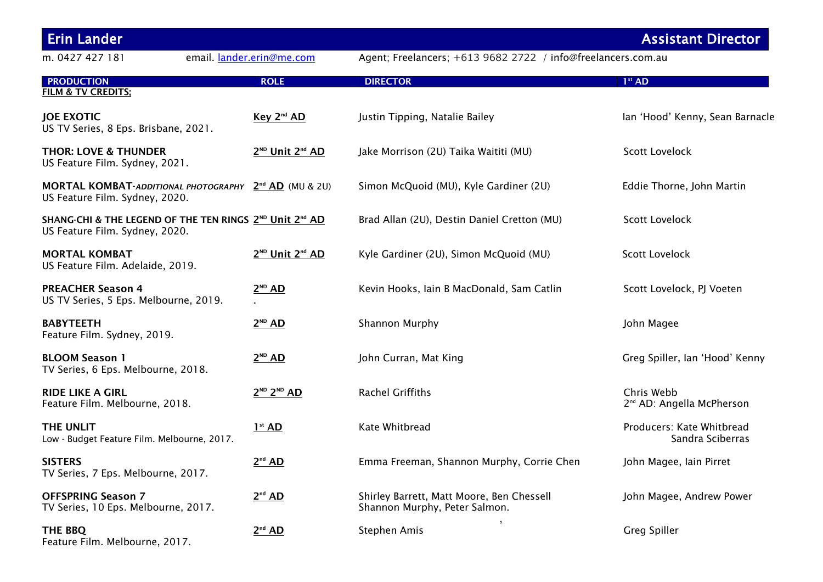| <b>Erin Lander</b>                                                                        |                                                                   |                                                                            | <b>Assistant Director</b>                           |
|-------------------------------------------------------------------------------------------|-------------------------------------------------------------------|----------------------------------------------------------------------------|-----------------------------------------------------|
| m. 0427 427 181                                                                           | email. lander.erin@me.com                                         | Agent; Freelancers; +613 9682 2722 / info@freelancers.com.au               |                                                     |
| <b>PRODUCTION</b><br><b>FILM &amp; TV CREDITS;</b>                                        | <b>ROLE</b>                                                       | <b>DIRECTOR</b>                                                            | 1 <sup>st</sup> AD                                  |
| <b>JOE EXOTIC</b><br>US TV Series, 8 Eps. Brisbane, 2021.                                 | Key 2 <sup>nd</sup> AD                                            | Justin Tipping, Natalie Bailey                                             | Ian 'Hood' Kenny, Sean Barnacle                     |
| <b>THOR: LOVE &amp; THUNDER</b><br>US Feature Film. Sydney, 2021.                         | 2 <sup>ND</sup> Unit 2 <sup>nd</sup> AD                           | Jake Morrison (2U) Taika Waititi (MU)                                      | <b>Scott Lovelock</b>                               |
| US Feature Film. Sydney, 2020.                                                            | MORTAL KOMBAT-ADDITIONAL PHOTOGRAPHY 2 <sup>nd</sup> AD (MU & 2U) | Simon McQuoid (MU), Kyle Gardiner (2U)                                     | Eddie Thorne, John Martin                           |
| SHANG-CHI & THE LEGEND OF THE TEN RINGS 2ND Unit 2nd AD<br>US Feature Film. Sydney, 2020. |                                                                   | Brad Allan (2U), Destin Daniel Cretton (MU)                                | Scott Lovelock                                      |
| <b>MORTAL KOMBAT</b><br>US Feature Film. Adelaide, 2019.                                  | 2 <sup>ND</sup> Unit 2 <sup>nd</sup> AD                           | Kyle Gardiner (2U), Simon McQuoid (MU)                                     | <b>Scott Lovelock</b>                               |
| <b>PREACHER Season 4</b><br>US TV Series, 5 Eps. Melbourne, 2019.                         | $2^{ND}$ AD                                                       | Kevin Hooks, Iain B MacDonald, Sam Catlin                                  | Scott Lovelock, PJ Voeten                           |
| <b>BABYTEETH</b><br>Feature Film. Sydney, 2019.                                           | $2^{ND}$ AD                                                       | <b>Shannon Murphy</b>                                                      | John Magee                                          |
| <b>BLOOM Season 1</b><br>TV Series, 6 Eps. Melbourne, 2018.                               | $2^{ND}$ AD                                                       | John Curran, Mat King                                                      | Greg Spiller, Ian 'Hood' Kenny                      |
| <b>RIDE LIKE A GIRL</b><br>Feature Film. Melbourne, 2018.                                 | $2^{ND}$ $2^{ND}$ AD                                              | <b>Rachel Griffiths</b>                                                    | Chris Webb<br>2 <sup>nd</sup> AD: Angella McPherson |
| THE UNLIT<br>Low - Budget Feature Film. Melbourne, 2017.                                  | 1 <sup>st</sup> AD                                                | Kate Whitbread                                                             | Producers: Kate Whitbread<br>Sandra Sciberras       |
| <b>SISTERS</b><br>TV Series, 7 Eps. Melbourne, 2017.                                      | 2 <sup>nd</sup> AD                                                | Emma Freeman, Shannon Murphy, Corrie Chen                                  | John Magee, Iain Pirret                             |
| <b>OFFSPRING Season 7</b><br>TV Series, 10 Eps. Melbourne, 2017.                          | 2 <sup>nd</sup> AD                                                | Shirley Barrett, Matt Moore, Ben Chessell<br>Shannon Murphy, Peter Salmon. | John Magee, Andrew Power                            |
| THE BBQ<br>Feature Film. Melbourne, 2017.                                                 | 2 <sup>nd</sup> AD                                                | Stephen Amis                                                               | <b>Greg Spiller</b>                                 |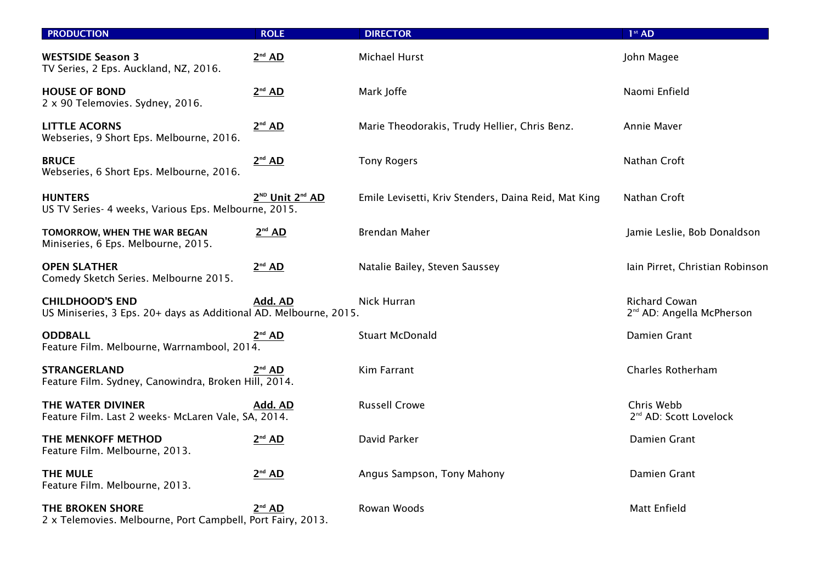| <b>PRODUCTION</b>                                                                           | <b>ROLE</b>                             | <b>DIRECTOR</b>                                      | 1 <sup>st</sup> AD                                     |
|---------------------------------------------------------------------------------------------|-----------------------------------------|------------------------------------------------------|--------------------------------------------------------|
| <b>WESTSIDE Season 3</b><br>TV Series, 2 Eps. Auckland, NZ, 2016.                           | 2 <sup>nd</sup> AD                      | Michael Hurst                                        | John Magee                                             |
| <b>HOUSE OF BOND</b><br>2 x 90 Telemovies. Sydney, 2016.                                    | 2 <sup>nd</sup> AD                      | Mark Joffe                                           | Naomi Enfield                                          |
| <b>LITTLE ACORNS</b><br>Webseries, 9 Short Eps. Melbourne, 2016.                            | 2 <sup>nd</sup> AD                      | Marie Theodorakis, Trudy Hellier, Chris Benz.        | Annie Maver                                            |
| <b>BRUCE</b><br>Webseries, 6 Short Eps. Melbourne, 2016.                                    | 2 <sup>nd</sup> AD                      | <b>Tony Rogers</b>                                   | Nathan Croft                                           |
| <b>HUNTERS</b><br>US TV Series- 4 weeks, Various Eps. Melbourne, 2015.                      | 2 <sup>ND</sup> Unit 2 <sup>nd</sup> AD | Emile Levisetti, Kriv Stenders, Daina Reid, Mat King | Nathan Croft                                           |
| TOMORROW, WHEN THE WAR BEGAN<br>Miniseries, 6 Eps. Melbourne, 2015.                         | 2 <sup>nd</sup> AD                      | Brendan Maher                                        | Jamie Leslie, Bob Donaldson                            |
| <b>OPEN SLATHER</b><br>Comedy Sketch Series. Melbourne 2015.                                | $2nd$ AD                                | Natalie Bailey, Steven Saussey                       | Iain Pirret, Christian Robinson                        |
| <b>CHILDHOOD'S END</b><br>US Miniseries, 3 Eps. 20+ days as Additional AD. Melbourne, 2015. | Add. AD                                 | Nick Hurran                                          | Richard Cowan<br>2 <sup>nd</sup> AD: Angella McPherson |
| <b>ODDBALL</b><br>Feature Film. Melbourne, Warrnambool, 2014.                               | 2 <sup>nd</sup> AD                      | <b>Stuart McDonald</b>                               | Damien Grant                                           |
| <b>STRANGERLAND</b><br>Feature Film. Sydney, Canowindra, Broken Hill, 2014.                 | $2^{\scriptscriptstyle \sf nd}$ AD.     | Kim Farrant                                          | <b>Charles Rotherham</b>                               |
| THE WATER DIVINER<br>Feature Film. Last 2 weeks- McLaren Vale, SA, 2014.                    | Add. AD                                 | <b>Russell Crowe</b>                                 | Chris Webb<br>2 <sup>nd</sup> AD: Scott Lovelock       |
| THE MENKOFF METHOD<br>Feature Film. Melbourne, 2013.                                        | 2 <sup>nd</sup> AD                      | David Parker                                         | Damien Grant                                           |
| <b>THE MULE</b><br>Feature Film. Melbourne, 2013.                                           | 2 <sup>nd</sup> AD                      | Angus Sampson, Tony Mahony                           | Damien Grant                                           |
| <b>THE BROKEN SHORE</b><br>2 x Telemovies. Melbourne, Port Campbell, Port Fairy, 2013.      | $2nd$ AD                                | Rowan Woods                                          | Matt Enfield                                           |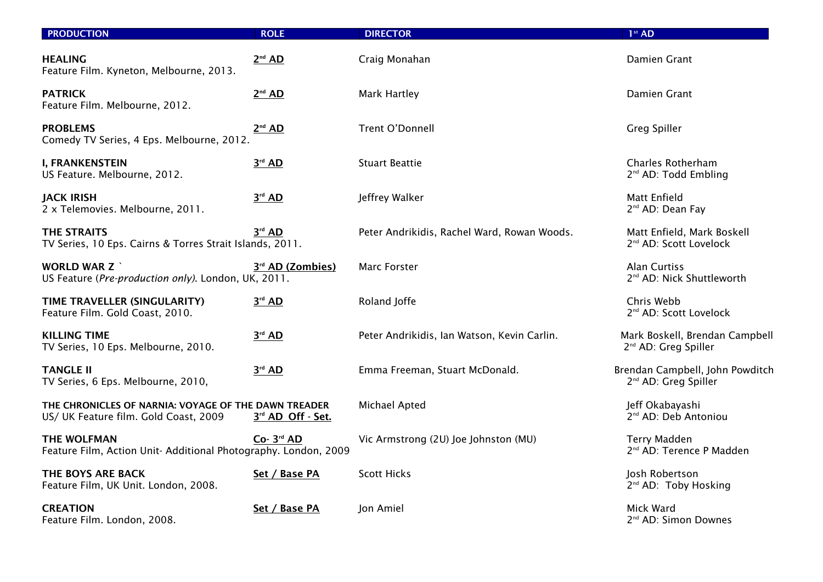| <b>PRODUCTION</b>                                                                             | <b>ROLE</b>        | <b>DIRECTOR</b>                             | 1 <sup>st</sup> AD                                                  |
|-----------------------------------------------------------------------------------------------|--------------------|---------------------------------------------|---------------------------------------------------------------------|
| <b>HEALING</b><br>Feature Film. Kyneton, Melbourne, 2013.                                     | 2 <sup>nd</sup> AD | Craig Monahan                               | Damien Grant                                                        |
| <b>PATRICK</b><br>Feature Film. Melbourne, 2012.                                              | 2 <sup>nd</sup> AD | Mark Hartley                                | Damien Grant                                                        |
| <b>PROBLEMS</b><br>Comedy TV Series, 4 Eps. Melbourne, 2012.                                  | 2 <sup>nd</sup> AD | Trent O'Donnell                             | Greg Spiller                                                        |
| <b>I, FRANKENSTEIN</b><br>US Feature. Melbourne, 2012.                                        | $3rd$ AD           | <b>Stuart Beattie</b>                       | <b>Charles Rotherham</b><br>2 <sup>nd</sup> AD: Todd Embling        |
| <b>JACK IRISH</b><br>2 x Telemovies. Melbourne, 2011.                                         | $3rd$ AD           | Jeffrey Walker                              | <b>Matt Enfield</b><br>2 <sup>nd</sup> AD: Dean Fay                 |
| <b>THE STRAITS</b><br>TV Series, 10 Eps. Cairns & Torres Strait Islands, 2011.                | $3rd$ AD           | Peter Andrikidis, Rachel Ward, Rowan Woods. | Matt Enfield, Mark Boskell<br>2 <sup>nd</sup> AD: Scott Lovelock    |
| <b>WORLD WAR Z `</b><br>US Feature (Pre-production only). London, UK, 2011.                   | 3rd AD (Zombies)   | <b>Marc Forster</b>                         | <b>Alan Curtiss</b><br>2 <sup>nd</sup> AD: Nick Shuttleworth        |
| TIME TRAVELLER (SINGULARITY)<br>Feature Film. Gold Coast, 2010.                               | $3^{rd}$ AD        | Roland Joffe                                | Chris Webb<br>2 <sup>nd</sup> AD: Scott Lovelock                    |
| <b>KILLING TIME</b><br>TV Series, 10 Eps. Melbourne, 2010.                                    | $3^{rd}$ AD        | Peter Andrikidis, Ian Watson, Kevin Carlin. | Mark Boskell, Brendan Campbell<br>2 <sup>nd</sup> AD: Greg Spiller  |
| <b>TANGLE II</b><br>TV Series, 6 Eps. Melbourne, 2010,                                        | $3^{rd}$ AD        | Emma Freeman, Stuart McDonald.              | Brendan Campbell, John Powditch<br>2 <sup>nd</sup> AD: Greg Spiller |
| THE CHRONICLES OF NARNIA: VOYAGE OF THE DAWN TREADER<br>US/ UK Feature film. Gold Coast, 2009 | 3rd AD Off - Set.  | Michael Apted                               | Jeff Okabayashi<br>2 <sup>nd</sup> AD: Deb Antoniou                 |
| <b>THE WOLFMAN</b><br>Feature Film, Action Unit-Additional Photography. London, 2009          | Co- 3rd AD         | Vic Armstrong (2U) Joe Johnston (MU)        | <b>Terry Madden</b><br>2 <sup>nd</sup> AD: Terence P Madden         |
| THE BOYS ARE BACK<br>Feature Film, UK Unit. London, 2008.                                     | Set / Base PA      | <b>Scott Hicks</b>                          | Josh Robertson<br>2 <sup>nd</sup> AD: Toby Hosking                  |
| <b>CREATION</b><br>Feature Film. London, 2008.                                                | Set / Base PA      | Jon Amiel                                   | Mick Ward<br>2 <sup>nd</sup> AD: Simon Downes                       |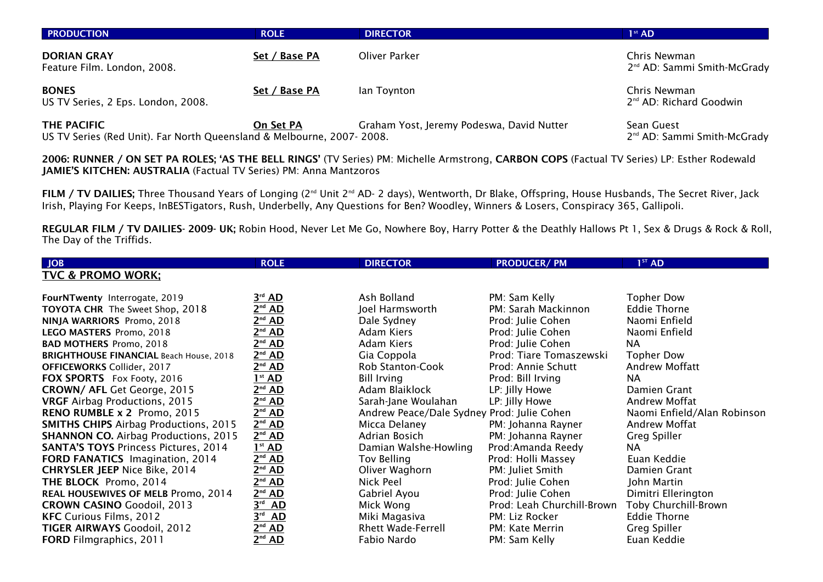| <b>PRODUCTION</b>                                                                    | <b>ROLE</b>   | <b>DIRECTOR</b>                           | $1st$ AD                                                |
|--------------------------------------------------------------------------------------|---------------|-------------------------------------------|---------------------------------------------------------|
| <b>DORIAN GRAY</b><br>Feature Film. London, 2008.                                    | Set / Base PA | Oliver Parker                             | Chris Newman<br>2 <sup>nd</sup> AD: Sammi Smith-McGrady |
| <b>BONES</b><br>US TV Series, 2 Eps. London, 2008.                                   | Set / Base PA | lan Toynton                               | Chris Newman<br>2 <sup>nd</sup> AD: Richard Goodwin     |
| THE PACIFIC<br>US TV Series (Red Unit). Far North Queensland & Melbourne, 2007-2008. | On Set PA     | Graham Yost, Jeremy Podeswa, David Nutter | Sean Guest<br>2 <sup>nd</sup> AD: Sammi Smith-McGrady   |

2006: RUNNER / ON SET PA ROLES; 'AS THE BELL RINGS' (TV Series) PM: Michelle Armstrong, CARBON COPS (Factual TV Series) LP: Esther Rodewald JAMIE'S KITCHEN: AUSTRALIA (Factual TV Series) PM: Anna Mantzoros

FILM / TV DAILIES; Three Thousand Years of Longing (2<sup>nd</sup> Unit 2<sup>nd</sup> AD- 2 days), Wentworth, Dr Blake, Offspring, House Husbands, The Secret River, Jack Irish, Playing For Keeps, InBESTigators, Rush, Underbelly, Any Questions for Ben? Woodley, Winners & Losers, Conspiracy 365, Gallipoli.

REGULAR FILM / TV DAILIES- 2009- UK; Robin Hood, Never Let Me Go, Nowhere Boy, Harry Potter & the Deathly Hallows Pt 1, Sex & Drugs & Rock & Roll, The Day of the Triffids.

| <b>JOB</b>                                     | <b>ROLE</b>           | <b>DIRECTOR</b>                            | <b>PRODUCER/PM</b>         | 1 <sup>ST</sup> AD          |
|------------------------------------------------|-----------------------|--------------------------------------------|----------------------------|-----------------------------|
| <b>TVC &amp; PROMO WORK:</b>                   |                       |                                            |                            |                             |
|                                                |                       |                                            |                            |                             |
| FourNTwenty Interrogate, 2019                  | $3^{\text{rd}}$ AD    | Ash Bolland                                | PM: Sam Kelly              | <b>Topher Dow</b>           |
| <b>TOYOTA CHR</b> The Sweet Shop, 2018         | $2^{nd}$ AD           | Joel Harmsworth                            | PM: Sarah Mackinnon        | <b>Eddie Thorne</b>         |
| NINJA WARRIORS Promo, 2018                     | $2nd$ AD              | Dale Sydney                                | Prod: Julie Cohen          | Naomi Enfield               |
| LEGO MASTERS Promo, 2018                       | $2nd$ AD              | Adam Kiers                                 | Prod: Julie Cohen          | Naomi Enfield               |
| <b>BAD MOTHERS Promo, 2018</b>                 | 2 <sup>nd</sup> AD    | Adam Kiers                                 | Prod: Julie Cohen          | NA.                         |
| <b>BRIGHTHOUSE FINANCIAL Beach House, 2018</b> | 2 <sup>nd</sup> AD    | Gia Coppola                                | Prod: Tiare Tomaszewski    | <b>Topher Dow</b>           |
| <b>OFFICEWORKS Collider, 2017</b>              | 2 <sup>nd</sup> AD    | <b>Rob Stanton-Cook</b>                    | Prod: Annie Schutt         | Andrew Moffatt              |
| FOX SPORTS Fox Footy, 2016                     | 1 <sup>st</sup> AD    | <b>Bill Irving</b>                         | Prod: Bill Irving          | NA.                         |
| CROWN/ AFL Get George, 2015                    | $2nd$ AD              | Adam Blaiklock                             | LP: Jilly Howe             | Damien Grant                |
| <b>VRGF</b> Airbag Productions, 2015           | 2 <sup>nd</sup> AD    | Sarah-Jane Woulahan                        | LP: Jilly Howe             | Andrew Moffat               |
| RENO RUMBLE x 2 Promo, 2015                    | 2 <sup>nd</sup> AD    | Andrew Peace/Dale Sydney Prod: Julie Cohen |                            | Naomi Enfield/Alan Robinson |
| <b>SMITHS CHIPS Airbag Productions, 2015</b>   | 2 <sup>nd</sup> AD    | Micca Delaney                              | PM: Johanna Rayner         | Andrew Moffat               |
| <b>SHANNON CO.</b> Airbag Productions, 2015    | 2 <sup>nd</sup> AD    | Adrian Bosich                              | PM: Johanna Rayner         | <b>Greg Spiller</b>         |
| <b>SANTA'S TOYS Princess Pictures, 2014</b>    | 1 <sup>st</sup> AD    | Damian Walshe-Howling                      | Prod:Amanda Reedy          | NA.                         |
| FORD FANATICS Imagination, 2014                | 2 <sup>nd</sup> AD    | Tov Belling                                | Prod: Holli Massey         | Euan Keddie                 |
| <b>CHRYSLER JEEP Nice Bike, 2014</b>           | 2 <sup>nd</sup> AD    | Oliver Waghorn                             | PM: Juliet Smith           | Damien Grant                |
| THE BLOCK Promo, 2014                          | 2 <sup>nd</sup> AD    | Nick Peel                                  | Prod: Julie Cohen          | John Martin                 |
| REAL HOUSEWIVES OF MELB Promo, 2014            | 2 <sup>nd</sup> AD    | Gabriel Ayou                               | Prod: Julie Cohen          | Dimitri Ellerington         |
| <b>CROWN CASINO Goodoil, 2013</b>              | 3 <sup>rd</sup><br>AD | Mick Wong                                  | Prod: Leah Churchill-Brown | Toby Churchill-Brown        |
| <b>KFC</b> Curious Films, 2012                 | 3rd<br><b>AD</b>      | Miki Magasiva                              | PM: Liz Rocker             | <b>Eddie Thorne</b>         |
| <b>TIGER AIRWAYS Goodoil, 2012</b>             | $2^{nd}$ AD           | <b>Rhett Wade-Ferrell</b>                  | PM: Kate Merrin            | Greg Spiller                |
| <b>FORD</b> Filmgraphics, 2011                 | $2nd$ AD              | Fabio Nardo                                | PM: Sam Kelly              | Euan Keddie                 |